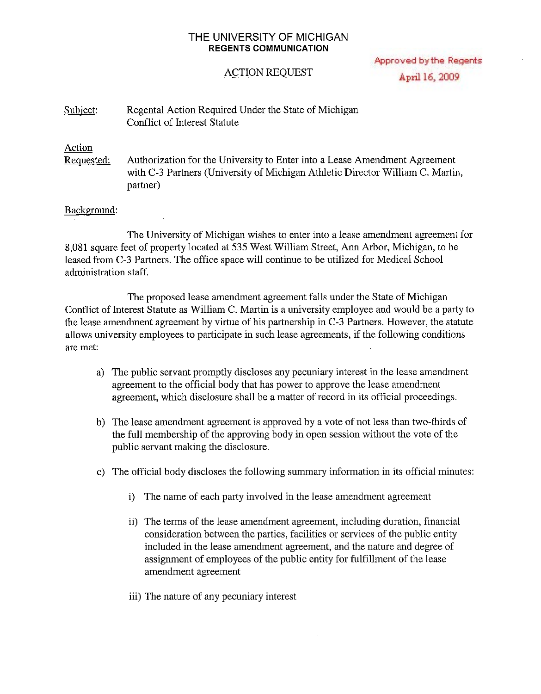# **THE** UNIVERSITY OF MICHIGAN **REGENTS COMMUNICATION**

Approved by the Regents April 16, 2009

# ACTION REOUEST

#### Subject: Regental Action Required Under the State of Michigan Conflict of Interest Statute

# Action

Requested: Authorization for the University to Enter into a Lease Amendment Agreement with C-3 Partners (University of Michigan Athletic Director William C. Martin, partner)

### Background:

The University of Michigan wishes to enter into a lease amendment agreement for 8,081 square feet of property located at 535 West William Street, Ann Arbor, Michigan, to be leased from C-3 Partners. The office space will continue to be utilized for Medical School administration staff.

The proposed lease amendment agreement falls under the State of Michigan Conflict of Interest Statute as William C. Martin is a university employee and would be a party to the lease amendment agreement by virtue of his partnership in  $C-3$  Partners. However, the statute allows university employees to participate in such lease agreements, if the following conditions are met:

- a) The public servant promptly discloses any pecuniary interest in the lease amendment agreement to the official body that has power to approve the lease amendment agreement, which disclosure shall be a matter of record in its official proceedings.
- b) The lease amendment agreement is approved by a vote of not less than two-thirds of the full membership of the approving body in open session without the vote of the public servant making the disclosure.
- c) The official body discloses the following summary information in its official minutes:
	- i) The name of each party involved in the lease amendment agreement
	- ii) The terms of the lease amendment agreement, including duration, financial consideration between the parties, facilities or services of the public entity included in the lease amendment agreement, and the nature and degree of assignment of employees of the public entity for fulfillment of the lease amendment agreement
	- iii) The nature of any pecuniary interest